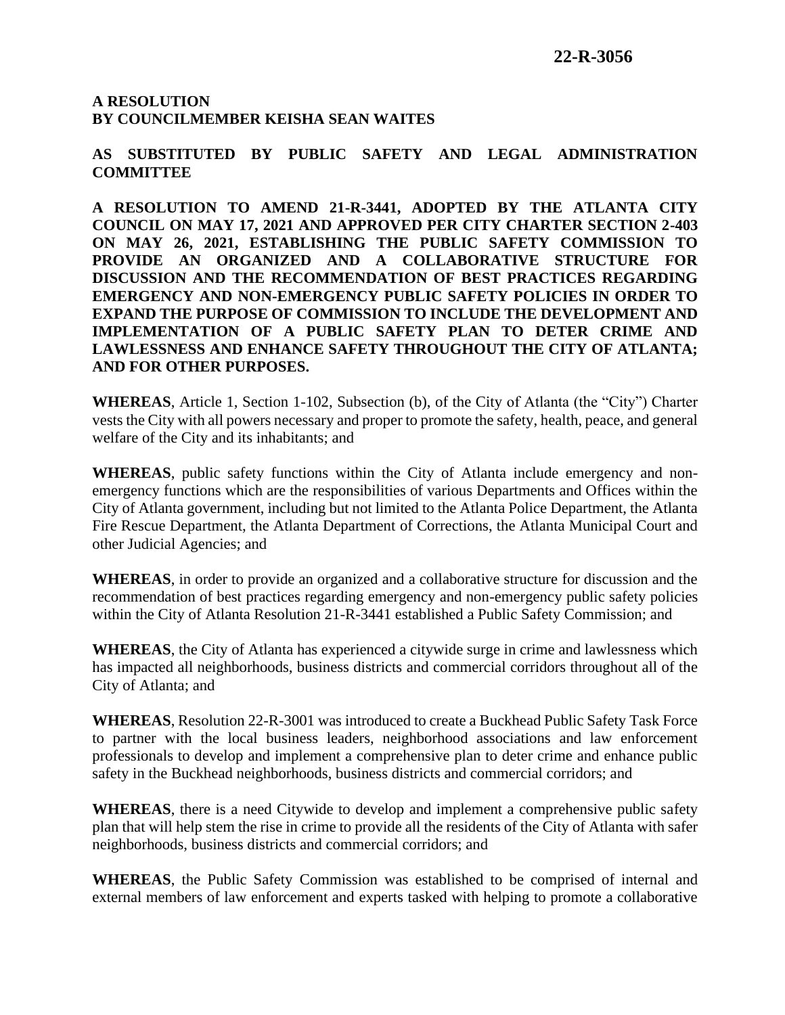## **A RESOLUTION BY COUNCILMEMBER KEISHA SEAN WAITES**

**AS SUBSTITUTED BY PUBLIC SAFETY AND LEGAL ADMINISTRATION COMMITTEE** 

**A RESOLUTION TO AMEND 21-R-3441, ADOPTED BY THE ATLANTA CITY COUNCIL ON MAY 17, 2021 AND APPROVED PER CITY CHARTER SECTION 2-403 ON MAY 26, 2021, ESTABLISHING THE PUBLIC SAFETY COMMISSION TO PROVIDE AN ORGANIZED AND A COLLABORATIVE STRUCTURE FOR DISCUSSION AND THE RECOMMENDATION OF BEST PRACTICES REGARDING EMERGENCY AND NON-EMERGENCY PUBLIC SAFETY POLICIES IN ORDER TO EXPAND THE PURPOSE OF COMMISSION TO INCLUDE THE DEVELOPMENT AND IMPLEMENTATION OF A PUBLIC SAFETY PLAN TO DETER CRIME AND LAWLESSNESS AND ENHANCE SAFETY THROUGHOUT THE CITY OF ATLANTA; AND FOR OTHER PURPOSES.**

**WHEREAS**, Article 1, Section 1-102, Subsection (b), of the City of Atlanta (the "City") Charter vests the City with all powers necessary and proper to promote the safety, health, peace, and general welfare of the City and its inhabitants; and

**WHEREAS**, public safety functions within the City of Atlanta include emergency and nonemergency functions which are the responsibilities of various Departments and Offices within the City of Atlanta government, including but not limited to the Atlanta Police Department, the Atlanta Fire Rescue Department, the Atlanta Department of Corrections, the Atlanta Municipal Court and other Judicial Agencies; and

**WHEREAS**, in order to provide an organized and a collaborative structure for discussion and the recommendation of best practices regarding emergency and non-emergency public safety policies within the City of Atlanta Resolution 21-R-3441 established a Public Safety Commission; and

**WHEREAS**, the City of Atlanta has experienced a citywide surge in crime and lawlessness which has impacted all neighborhoods, business districts and commercial corridors throughout all of the City of Atlanta; and

**WHEREAS**, Resolution 22-R-3001 was introduced to create a Buckhead Public Safety Task Force to partner with the local business leaders, neighborhood associations and law enforcement professionals to develop and implement a comprehensive plan to deter crime and enhance public safety in the Buckhead neighborhoods, business districts and commercial corridors; and

**WHEREAS**, there is a need Citywide to develop and implement a comprehensive public safety plan that will help stem the rise in crime to provide all the residents of the City of Atlanta with safer neighborhoods, business districts and commercial corridors; and

**WHEREAS**, the Public Safety Commission was established to be comprised of internal and external members of law enforcement and experts tasked with helping to promote a collaborative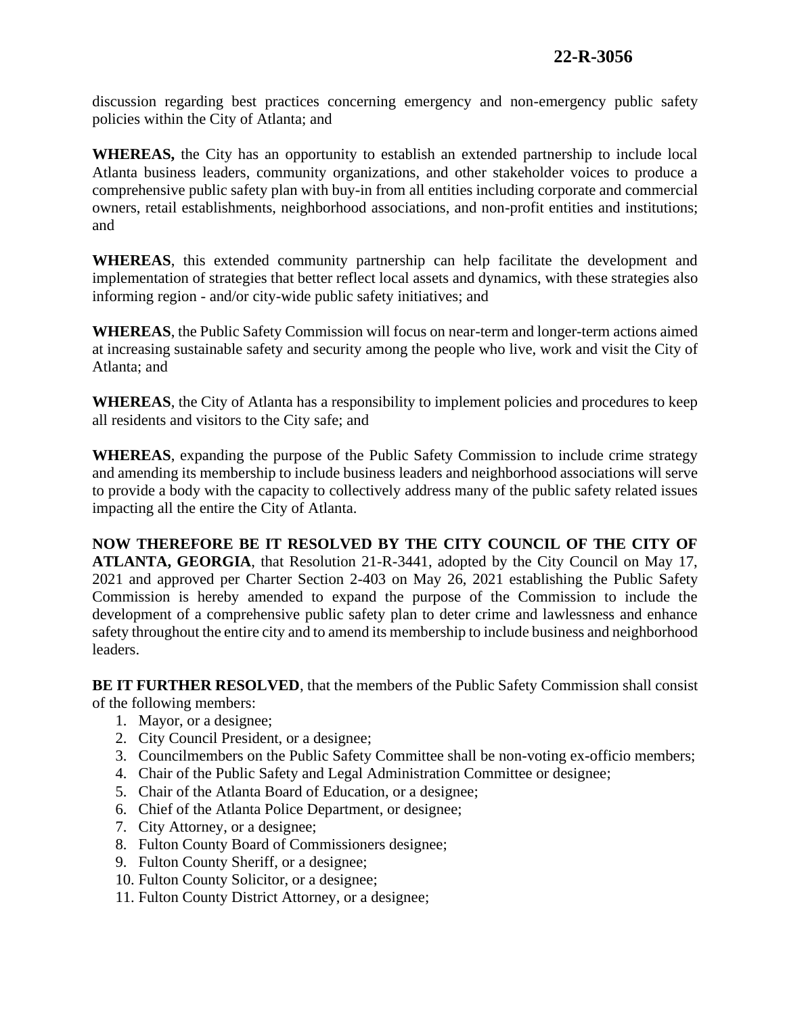discussion regarding best practices concerning emergency and non-emergency public safety policies within the City of Atlanta; and

**WHEREAS,** the City has an opportunity to establish an extended partnership to include local Atlanta business leaders, community organizations, and other stakeholder voices to produce a comprehensive public safety plan with buy-in from all entities including corporate and commercial owners, retail establishments, neighborhood associations, and non-profit entities and institutions; and

**WHEREAS**, this extended community partnership can help facilitate the development and implementation of strategies that better reflect local assets and dynamics, with these strategies also informing region - and/or city-wide public safety initiatives; and

**WHEREAS**, the Public Safety Commission will focus on near-term and longer-term actions aimed at increasing sustainable safety and security among the people who live, work and visit the City of Atlanta; and

**WHEREAS**, the City of Atlanta has a responsibility to implement policies and procedures to keep all residents and visitors to the City safe; and

**WHEREAS**, expanding the purpose of the Public Safety Commission to include crime strategy and amending its membership to include business leaders and neighborhood associations will serve to provide a body with the capacity to collectively address many of the public safety related issues impacting all the entire the City of Atlanta.

**NOW THEREFORE BE IT RESOLVED BY THE CITY COUNCIL OF THE CITY OF ATLANTA, GEORGIA**, that Resolution 21-R-3441, adopted by the City Council on May 17, 2021 and approved per Charter Section 2-403 on May 26, 2021 establishing the Public Safety Commission is hereby amended to expand the purpose of the Commission to include the development of a comprehensive public safety plan to deter crime and lawlessness and enhance safety throughout the entire city and to amend its membership to include business and neighborhood leaders.

**BE IT FURTHER RESOLVED**, that the members of the Public Safety Commission shall consist of the following members:

- 1. Mayor, or a designee;
- 2. City Council President, or a designee;
- 3. Councilmembers on the Public Safety Committee shall be non-voting ex-officio members;
- 4. Chair of the Public Safety and Legal Administration Committee or designee;
- 5. Chair of the Atlanta Board of Education, or a designee;
- 6. Chief of the Atlanta Police Department, or designee;
- 7. City Attorney, or a designee;
- 8. Fulton County Board of Commissioners designee;
- 9. Fulton County Sheriff, or a designee;
- 10. Fulton County Solicitor, or a designee;
- 11. Fulton County District Attorney, or a designee;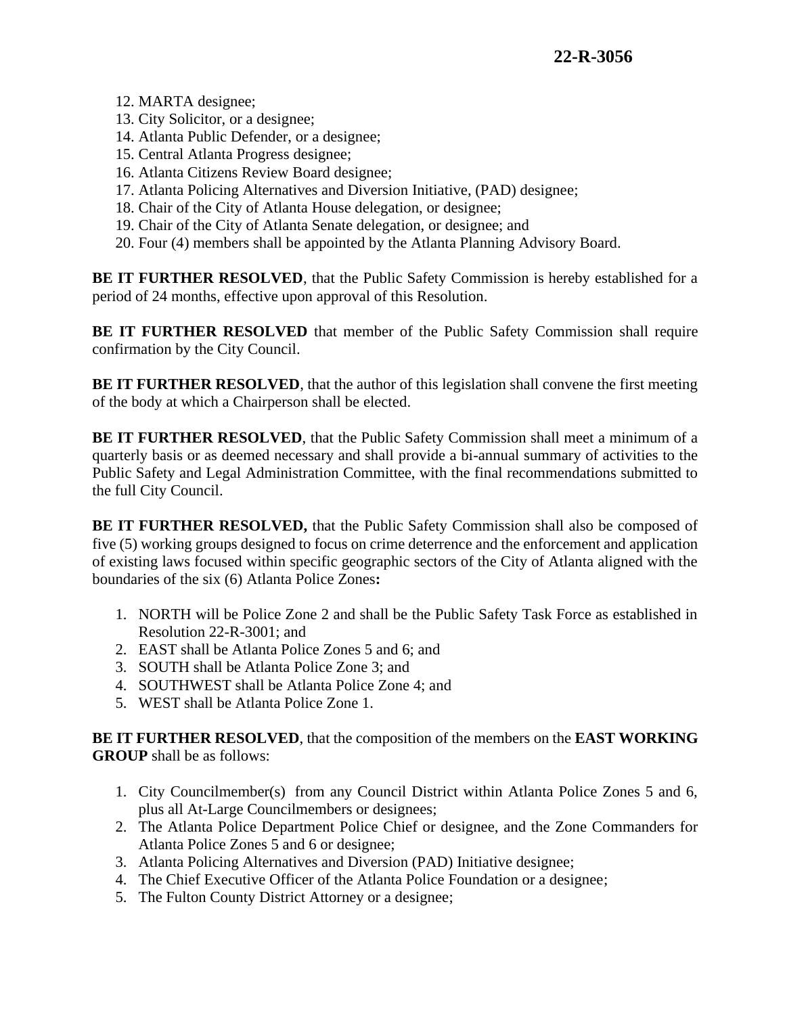- 12. MARTA designee;
- 13. City Solicitor, or a designee;
- 14. Atlanta Public Defender, or a designee;
- 15. Central Atlanta Progress designee;
- 16. Atlanta Citizens Review Board designee;
- 17. Atlanta Policing Alternatives and Diversion Initiative, (PAD) designee;
- 18. Chair of the City of Atlanta House delegation, or designee;
- 19. Chair of the City of Atlanta Senate delegation, or designee; and
- 20. Four (4) members shall be appointed by the Atlanta Planning Advisory Board.

**BE IT FURTHER RESOLVED**, that the Public Safety Commission is hereby established for a period of 24 months, effective upon approval of this Resolution.

**BE IT FURTHER RESOLVED** that member of the Public Safety Commission shall require confirmation by the City Council.

**BE IT FURTHER RESOLVED**, that the author of this legislation shall convene the first meeting of the body at which a Chairperson shall be elected.

**BE IT FURTHER RESOLVED**, that the Public Safety Commission shall meet a minimum of a quarterly basis or as deemed necessary and shall provide a bi-annual summary of activities to the Public Safety and Legal Administration Committee, with the final recommendations submitted to the full City Council.

**BE IT FURTHER RESOLVED,** that the Public Safety Commission shall also be composed of five (5) working groups designed to focus on crime deterrence and the enforcement and application of existing laws focused within specific geographic sectors of the City of Atlanta aligned with the boundaries of the six (6) Atlanta Police Zones**:**

- 1. NORTH will be Police Zone 2 and shall be the Public Safety Task Force as established in Resolution 22-R-3001; and
- 2. EAST shall be Atlanta Police Zones 5 and 6; and
- 3. SOUTH shall be Atlanta Police Zone 3; and
- 4. SOUTHWEST shall be Atlanta Police Zone 4; and
- 5. WEST shall be Atlanta Police Zone 1.

**BE IT FURTHER RESOLVED**, that the composition of the members on the **EAST WORKING GROUP** shall be as follows:

- 1. City Councilmember(s) from any Council District within Atlanta Police Zones 5 and 6, plus all At-Large Councilmembers or designees;
- 2. The Atlanta Police Department Police Chief or designee, and the Zone Commanders for Atlanta Police Zones 5 and 6 or designee;
- 3. Atlanta Policing Alternatives and Diversion (PAD) Initiative designee;
- 4. The Chief Executive Officer of the Atlanta Police Foundation or a designee;
- 5. The Fulton County District Attorney or a designee;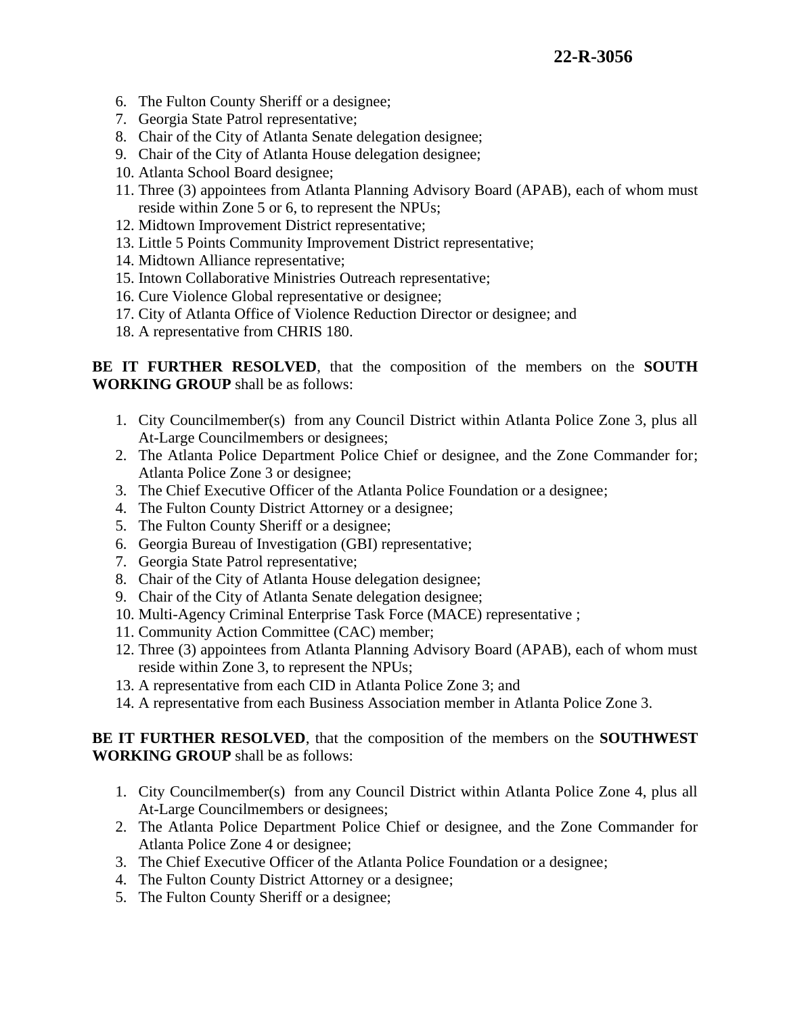- 6. The Fulton County Sheriff or a designee;
- 7. Georgia State Patrol representative;
- 8. Chair of the City of Atlanta Senate delegation designee;
- 9. Chair of the City of Atlanta House delegation designee;
- 10. Atlanta School Board designee;
- 11. Three (3) appointees from Atlanta Planning Advisory Board (APAB), each of whom must reside within Zone 5 or 6, to represent the NPUs;
- 12. Midtown Improvement District representative;
- 13. Little 5 Points Community Improvement District representative;
- 14. Midtown Alliance representative;
- 15. Intown Collaborative Ministries Outreach representative;
- 16. Cure Violence Global representative or designee;
- 17. City of Atlanta Office of Violence Reduction Director or designee; and
- 18. A representative from CHRIS 180.

**BE IT FURTHER RESOLVED**, that the composition of the members on the **SOUTH WORKING GROUP** shall be as follows:

- 1. City Councilmember(s) from any Council District within Atlanta Police Zone 3, plus all At-Large Councilmembers or designees;
- 2. The Atlanta Police Department Police Chief or designee, and the Zone Commander for; Atlanta Police Zone 3 or designee;
- 3. The Chief Executive Officer of the Atlanta Police Foundation or a designee;
- 4. The Fulton County District Attorney or a designee;
- 5. The Fulton County Sheriff or a designee;
- 6. Georgia Bureau of Investigation (GBI) representative;
- 7. Georgia State Patrol representative;
- 8. Chair of the City of Atlanta House delegation designee;
- 9. Chair of the City of Atlanta Senate delegation designee;
- 10. Multi-Agency Criminal Enterprise Task Force (MACE) representative ;
- 11. Community Action Committee (CAC) member;
- 12. Three (3) appointees from Atlanta Planning Advisory Board (APAB), each of whom must reside within Zone 3, to represent the NPUs;
- 13. A representative from each CID in Atlanta Police Zone 3; and
- 14. A representative from each Business Association member in Atlanta Police Zone 3.

## **BE IT FURTHER RESOLVED**, that the composition of the members on the **SOUTHWEST WORKING GROUP** shall be as follows:

- 1. City Councilmember(s) from any Council District within Atlanta Police Zone 4, plus all At-Large Councilmembers or designees;
- 2. The Atlanta Police Department Police Chief or designee, and the Zone Commander for Atlanta Police Zone 4 or designee;
- 3. The Chief Executive Officer of the Atlanta Police Foundation or a designee;
- 4. The Fulton County District Attorney or a designee;
- 5. The Fulton County Sheriff or a designee;